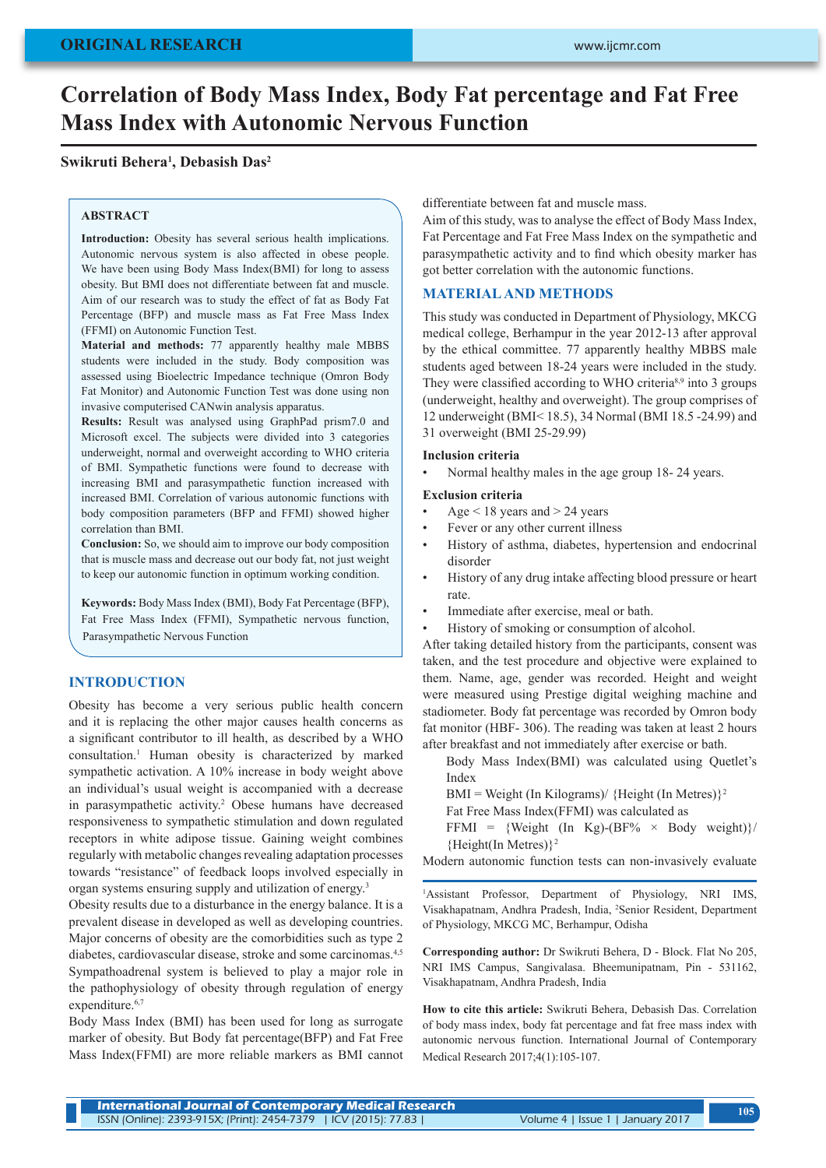# **Correlation of Body Mass Index, Body Fat percentage and Fat Free Mass Index with Autonomic Nervous Function**

## **Swikruti Behera1 , Debasish Das2**

#### **ABSTRACT**

**Introduction:** Obesity has several serious health implications. Autonomic nervous system is also affected in obese people. We have been using Body Mass Index(BMI) for long to assess obesity. But BMI does not differentiate between fat and muscle. Aim of our research was to study the effect of fat as Body Fat Percentage (BFP) and muscle mass as Fat Free Mass Index (FFMI) on Autonomic Function Test.

**Material and methods:** 77 apparently healthy male MBBS students were included in the study. Body composition was assessed using Bioelectric Impedance technique (Omron Body Fat Monitor) and Autonomic Function Test was done using non invasive computerised CANwin analysis apparatus.

**Results:** Result was analysed using GraphPad prism7.0 and Microsoft excel. The subjects were divided into 3 categories underweight, normal and overweight according to WHO criteria of BMI. Sympathetic functions were found to decrease with increasing BMI and parasympathetic function increased with increased BMI. Correlation of various autonomic functions with body composition parameters (BFP and FFMI) showed higher correlation than BMI.

**Conclusion:** So, we should aim to improve our body composition that is muscle mass and decrease out our body fat, not just weight to keep our autonomic function in optimum working condition.

**Keywords:** Body Mass Index (BMI), Body Fat Percentage (BFP), Fat Free Mass Index (FFMI), Sympathetic nervous function, Parasympathetic Nervous Function

## **INTRODUCTION**

Obesity has become a very serious public health concern and it is replacing the other major causes health concerns as a significant contributor to ill health, as described by a WHO consultation.1 Human obesity is characterized by marked sympathetic activation. A 10% increase in body weight above an individual's usual weight is accompanied with a decrease in parasympathetic activity.<sup>2</sup> Obese humans have decreased responsiveness to sympathetic stimulation and down regulated receptors in white adipose tissue. Gaining weight combines regularly with metabolic changes revealing adaptation processes towards "resistance" of feedback loops involved especially in organ systems ensuring supply and utilization of energy.3

Obesity results due to a disturbance in the energy balance. It is a prevalent disease in developed as well as developing countries. Major concerns of obesity are the comorbidities such as type 2 diabetes, cardiovascular disease, stroke and some carcinomas.<sup>4,5</sup> Sympathoadrenal system is believed to play a major role in the pathophysiology of obesity through regulation of energy expenditure.<sup>6,7</sup>

Body Mass Index (BMI) has been used for long as surrogate marker of obesity. But Body fat percentage(BFP) and Fat Free Mass Index(FFMI) are more reliable markers as BMI cannot differentiate between fat and muscle mass.

Aim of this study, was to analyse the effect of Body Mass Index, Fat Percentage and Fat Free Mass Index on the sympathetic and parasympathetic activity and to find which obesity marker has got better correlation with the autonomic functions.

## **MATERIAL AND METHODS**

This study was conducted in Department of Physiology, MKCG medical college, Berhampur in the year 2012-13 after approval by the ethical committee. 77 apparently healthy MBBS male students aged between 18-24 years were included in the study. They were classified according to WHO criteria<sup>8,9</sup> into 3 groups (underweight, healthy and overweight). The group comprises of 12 underweight (BMI< 18.5), 34 Normal (BMI 18.5 -24.99) and 31 overweight (BMI 25-29.99)

#### **Inclusion criteria**

• Normal healthy males in the age group 18- 24 years.

## **Exclusion criteria**

- Age  $<$  18 years and  $>$  24 years
- Fever or any other current illness
- History of asthma, diabetes, hypertension and endocrinal disorder
- History of any drug intake affecting blood pressure or heart rate.
- Immediate after exercise, meal or bath.
- History of smoking or consumption of alcohol.

After taking detailed history from the participants, consent was taken, and the test procedure and objective were explained to them. Name, age, gender was recorded. Height and weight were measured using Prestige digital weighing machine and stadiometer. Body fat percentage was recorded by Omron body fat monitor (HBF- 306). The reading was taken at least 2 hours after breakfast and not immediately after exercise or bath.

Body Mass Index(BMI) was calculated using Quetlet's Index

BMI = Weight (In Kilograms)/ {Height (In Metres)}<sup>2</sup>

Fat Free Mass Index(FFMI) was calculated as

FFMI = {Weight (In Kg)-(BF%  $\times$  Body weight)}/ {Height(In Metres)}2

Modern autonomic function tests can non-invasively evaluate

1 Assistant Professor, Department of Physiology, NRI IMS, Visakhapatnam, Andhra Pradesh, India, <sup>2</sup>Senior Resident, Department of Physiology, MKCG MC, Berhampur, Odisha

**Corresponding author:** Dr Swikruti Behera, D - Block. Flat No 205, NRI IMS Campus, Sangivalasa. Bheemunipatnam, Pin - 531162, Visakhapatnam, Andhra Pradesh, India

**How to cite this article:** Swikruti Behera, Debasish Das. Correlation of body mass index, body fat percentage and fat free mass index with autonomic nervous function. International Journal of Contemporary Medical Research 2017;4(1):105-107.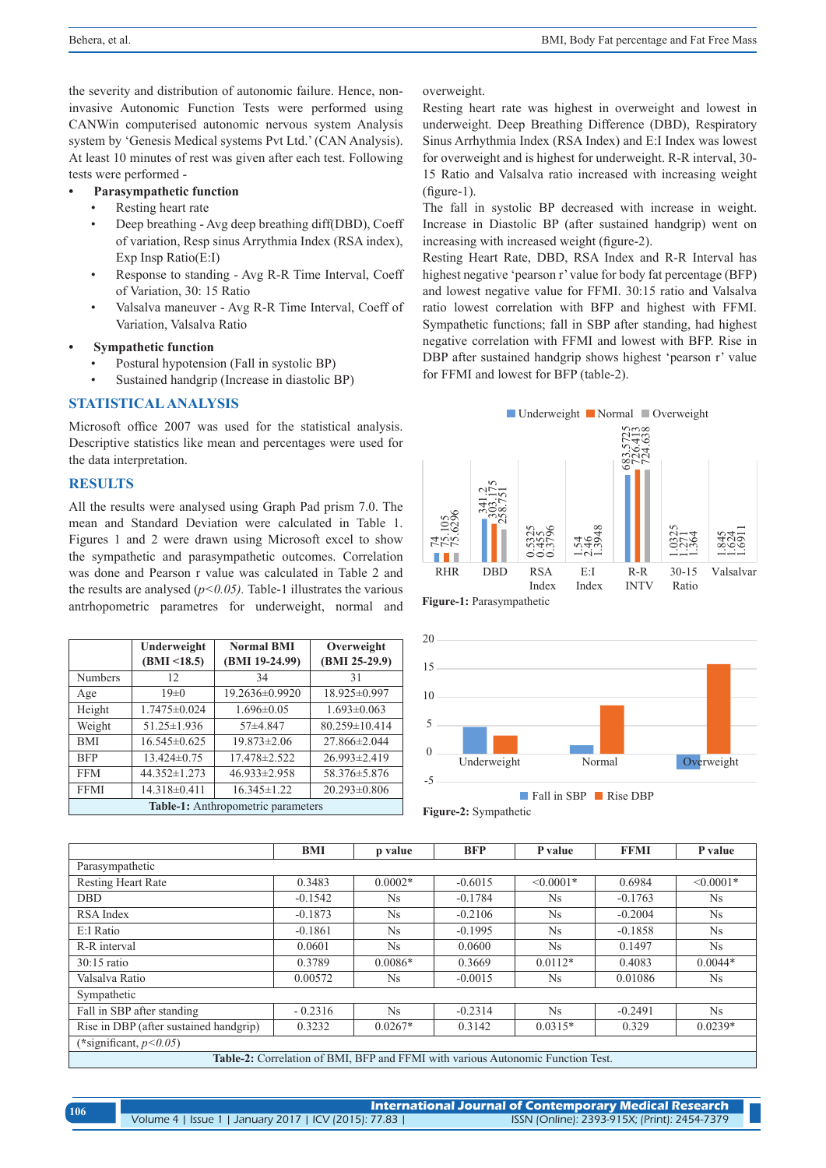the severity and distribution of autonomic failure. Hence, noninvasive Autonomic Function Tests were performed using CANWin computerised autonomic nervous system Analysis system by 'Genesis Medical systems Pvt Ltd.' (CAN Analysis). At least 10 minutes of rest was given after each test. Following tests were performed -

#### **Parasympathetic function**

- Resting heart rate
- Deep breathing Avg deep breathing diff(DBD), Coeff of variation, Resp sinus Arrythmia Index (RSA index), Exp Insp Ratio(E:I)
- Response to standing Avg R-R Time Interval, Coeff of Variation, 30: 15 Ratio
- Valsalva maneuver Avg R-R Time Interval, Coeff of Variation, Valsalva Ratio

#### **Sympathetic function**

- Postural hypotension (Fall in systolic BP)
- Sustained handgrip (Increase in diastolic BP)

### **STATISTICAL ANALYSIS**

Microsoft office 2007 was used for the statistical analysis. Descriptive statistics like mean and percentages were used for the data interpretation.

## **RESULTS**

|                                    | Underweight        | <b>Normal BMI</b>  | Overweight         |  |  |  |  |  |  |  |
|------------------------------------|--------------------|--------------------|--------------------|--|--|--|--|--|--|--|
|                                    | (BMI < 18.5)       | (BMI 19-24.99)     | (BMI 25-29.9)      |  |  |  |  |  |  |  |
| <b>Numbers</b>                     | 12                 | 34                 | 31                 |  |  |  |  |  |  |  |
| Age                                | $19\pm 0$          | 19.2636±0.9920     | 18.925±0.997       |  |  |  |  |  |  |  |
| Height                             | $1.7475 \pm 0.024$ | $1.696 \pm 0.05$   | $1.693 \pm 0.063$  |  |  |  |  |  |  |  |
| Weight                             | 51.25 ± 1.936      | $57+4.847$         | 80.259±10.414      |  |  |  |  |  |  |  |
| <b>BMI</b>                         | $16.545\pm0.625$   | $19.873 \pm 2.06$  | 27.866±2.044       |  |  |  |  |  |  |  |
| <b>BFP</b>                         | $13.424\pm0.75$    | 17.478±2.522       | $26.993 \pm 2.419$ |  |  |  |  |  |  |  |
| <b>FFM</b>                         | 44.352±1.273       | $46.933 \pm 2.958$ | 58.376 ± 5.876     |  |  |  |  |  |  |  |
| <b>FFMI</b>                        | 14.318±0.411       | $16.345 \pm 1.22$  | 20.293±0.806       |  |  |  |  |  |  |  |
| Table-1: Anthropometric parameters |                    |                    |                    |  |  |  |  |  |  |  |

overweight.

Resting heart rate was highest in overweight and lowest in underweight. Deep Breathing Difference (DBD), Respiratory Sinus Arrhythmia Index (RSA Index) and E:I Index was lowest for overweight and is highest for underweight. R-R interval, 30- 15 Ratio and Valsalva ratio increased with increasing weight (figure-1).

The fall in systolic BP decreased with increase in weight. Increase in Diastolic BP (after sustained handgrip) went on increasing with increased weight (figure-2).

Resting Heart Rate, DBD, RSA Index and R-R Interval has highest negative 'pearson r' value for body fat percentage (BFP) and lowest negative value for FFMI. 30:15 ratio and Valsalva ratio lowest correlation with BFP and highest with FFMI. Sympathetic functions; fall in SBP after standing, had highest negative correlation with FFMI and lowest with BFP. Rise in DBP after sustained handgrip shows highest 'pearson r' value for FFMI and lowest for BFP (table-2).





Fall in SBP Rise DBP

| All the results were analysed using Graph Pad prism 7.0. The<br>mean and Standard Deviation were calculated in Table 1.<br>Figures 1 and 2 were drawn using Microsoft excel to show<br>the sympathetic and parasympathetic outcomes. Correlation |                                                       |                                                                                 |           |                     |                 | 105<br>6296<br><b>496</b> | $\overline{5}$            | 5325<br>14556<br>೦೦೦ | $\frac{8}{3}$<br>4409<br>$-1$ |             |             |            |
|--------------------------------------------------------------------------------------------------------------------------------------------------------------------------------------------------------------------------------------------------|-------------------------------------------------------|---------------------------------------------------------------------------------|-----------|---------------------|-----------------|---------------------------|---------------------------|----------------------|-------------------------------|-------------|-------------|------------|
| was done and Pearson r value was calculated in Table 2 and                                                                                                                                                                                       |                                                       |                                                                                 |           |                     |                 | <b>RHR</b>                | <b>DBD</b>                | <b>RSA</b>           | E: I                          | $R-R$       | $30 - 15$   | Valsalvar  |
| the results are analysed $(p<0.05)$ . Table-1 illustrates the various                                                                                                                                                                            |                                                       |                                                                                 |           |                     |                 |                           |                           | Index                | Index                         | <b>INTV</b> | Ratio       |            |
|                                                                                                                                                                                                                                                  | antrhopometric parametres for underweight, normal and |                                                                                 |           |                     |                 |                           | Figure-1: Parasympathetic |                      |                               |             |             |            |
|                                                                                                                                                                                                                                                  |                                                       |                                                                                 |           |                     |                 |                           |                           |                      |                               |             |             |            |
|                                                                                                                                                                                                                                                  | Underweight                                           | <b>Normal BMI</b>                                                               |           | Overweight          |                 | 20                        |                           |                      |                               |             |             |            |
|                                                                                                                                                                                                                                                  | (BMI < 18.5)                                          | (BMI 19-24.99)                                                                  |           |                     | $(BMI 25-29.9)$ | 15                        |                           |                      |                               |             |             |            |
| <b>Numbers</b>                                                                                                                                                                                                                                   | 12                                                    | 34                                                                              |           | 31                  |                 |                           |                           |                      |                               |             |             |            |
| Age                                                                                                                                                                                                                                              | $19\pm0$                                              | 19.2636±0.9920                                                                  |           | 18.925±0.997        |                 | 10                        |                           |                      |                               |             |             |            |
| Height                                                                                                                                                                                                                                           | $1.7475 \pm 0.024$                                    | $1.696 \pm 0.05$                                                                |           | $1.693 \pm 0.063$   |                 |                           |                           |                      |                               |             |             |            |
| Weight                                                                                                                                                                                                                                           | 51.25±1.936                                           | 57±4.847                                                                        |           | 80.259±10.414       |                 | 5                         |                           |                      |                               |             |             |            |
| <b>BMI</b>                                                                                                                                                                                                                                       | $16.545\pm0.625$                                      | $19.873 \pm 2.06$                                                               |           |                     | 27.866±2.044    | $\overline{0}$            |                           |                      |                               |             |             |            |
| <b>BFP</b>                                                                                                                                                                                                                                       | 13.424±0.75                                           | 17.478±2.522                                                                    |           |                     | 26.993±2.419    |                           | Underweight               |                      | Normal                        |             |             | Overweight |
| <b>FFM</b>                                                                                                                                                                                                                                       | 44.352±1.273                                          | 46.933±2.958                                                                    |           | 58.376 ± 5.876      |                 | $-5$                      |                           |                      |                               |             |             |            |
| <b>FFMI</b>                                                                                                                                                                                                                                      | 14.318±0.411                                          | $16.345 \pm 1.22$                                                               |           | 20.293±0.806        |                 |                           |                           | Fall in SBP Rise DBP |                               |             |             |            |
|                                                                                                                                                                                                                                                  | Table-1: Anthropometric parameters                    |                                                                                 |           |                     |                 |                           | Figure-2: Sympathetic     |                      |                               |             |             |            |
|                                                                                                                                                                                                                                                  |                                                       |                                                                                 |           |                     |                 |                           |                           |                      |                               |             |             |            |
|                                                                                                                                                                                                                                                  |                                                       |                                                                                 |           | <b>BMI</b>          | p value         |                           | <b>BFP</b>                | P value              |                               | <b>FFMI</b> |             | P value    |
| Parasympathetic                                                                                                                                                                                                                                  |                                                       |                                                                                 |           |                     |                 |                           |                           |                      |                               |             |             |            |
| <b>Resting Heart Rate</b>                                                                                                                                                                                                                        |                                                       |                                                                                 | 0.3483    |                     | $0.0002*$       |                           | $-0.6015$                 | $< 0.0001*$          |                               | 0.6984      | $< 0.0001*$ |            |
| DBD                                                                                                                                                                                                                                              |                                                       | $-0.1542$                                                                       |           | Ns                  |                 | $-0.1784$                 | Ns                        |                      | $-0.1763$                     | Ns          |             |            |
| <b>RSA</b> Index                                                                                                                                                                                                                                 |                                                       |                                                                                 | $-0.1873$ | Ns                  |                 | $-0.2106$                 | Ns                        |                      | $-0.2004$                     | Ns          |             |            |
| E:I Ratio                                                                                                                                                                                                                                        |                                                       |                                                                                 | $-0.1861$ | Ns                  |                 | $-0.1995$                 | Ns                        |                      | $-0.1858$                     | Ns          |             |            |
| R-R interval                                                                                                                                                                                                                                     |                                                       |                                                                                 | 0.0601    | Ns                  |                 | 0.0600                    | Ns                        |                      | 0.1497                        | Ns          |             |            |
| 30:15 ratio                                                                                                                                                                                                                                      |                                                       |                                                                                 | 0.3789    | $0.0086*$           |                 | 0.3669                    | $0.0112*$                 |                      | 0.4083                        | $0.0044*$   |             |            |
| Valsalva Ratio                                                                                                                                                                                                                                   |                                                       |                                                                                 | 0.00572   | Ns                  |                 | $-0.0015$                 | Ns                        |                      | 0.01086                       |             | Ns          |            |
| Sympathetic                                                                                                                                                                                                                                      |                                                       |                                                                                 |           |                     |                 |                           |                           |                      |                               |             |             |            |
| Fall in SBP after standing                                                                                                                                                                                                                       |                                                       |                                                                                 |           | $-0.2316$           | Ns              |                           | $-0.2314$                 | Ns                   |                               | $-0.2491$   |             | Ns         |
| Rise in DBP (after sustained handgrip)                                                                                                                                                                                                           |                                                       |                                                                                 |           | 0.3232<br>$0.0267*$ |                 |                           | 0.3142                    | $0.0315*$            |                               | 0.329       | $0.0239*$   |            |
| (*significant, $p<0.05$ )                                                                                                                                                                                                                        |                                                       |                                                                                 |           |                     |                 |                           |                           |                      |                               |             |             |            |
|                                                                                                                                                                                                                                                  |                                                       | Table-2: Correlation of BMI, BFP and FFMI with various Autonomic Function Test. |           |                     |                 |                           |                           |                      |                               |             |             |            |

**International Journal of Contemporary Medical Research**  Volume 4 | Issue 1 | January 2017 | ICV (2015): 77.83 | ISSN (Online): 2393-915X; (Print): 2454-7379 **<sup>106</sup>**